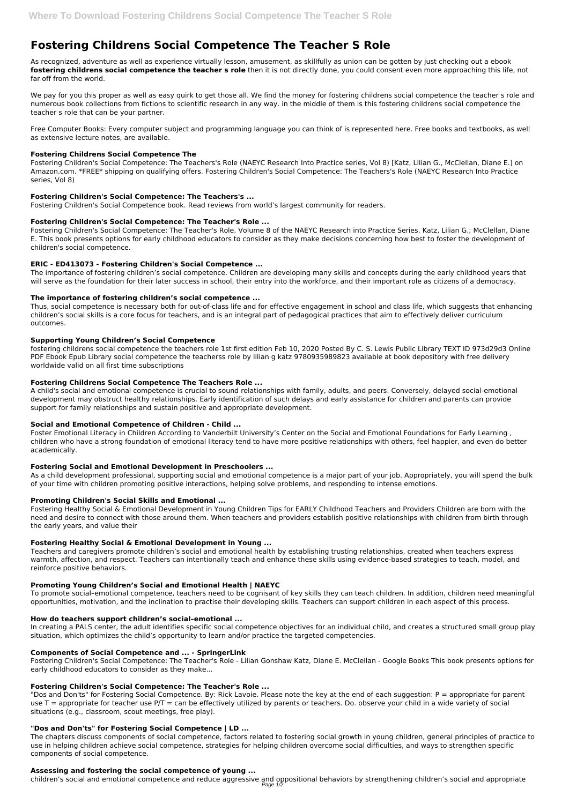# **Fostering Childrens Social Competence The Teacher S Role**

As recognized, adventure as well as experience virtually lesson, amusement, as skillfully as union can be gotten by just checking out a ebook **fostering childrens social competence the teacher s role** then it is not directly done, you could consent even more approaching this life, not far off from the world.

We pay for you this proper as well as easy quirk to get those all. We find the money for fostering childrens social competence the teacher s role and numerous book collections from fictions to scientific research in any way. in the middle of them is this fostering childrens social competence the teacher s role that can be your partner.

Free Computer Books: Every computer subject and programming language you can think of is represented here. Free books and textbooks, as well as extensive lecture notes, are available.

# **Fostering Childrens Social Competence The**

Fostering Children's Social Competence: The Teachers's Role (NAEYC Research Into Practice series, Vol 8) [Katz, Lilian G., McClellan, Diane E.] on Amazon.com. \*FREE\* shipping on qualifying offers. Fostering Children's Social Competence: The Teachers's Role (NAEYC Research Into Practice series, Vol 8)

# **Fostering Children's Social Competence: The Teachers's ...**

Fostering Children's Social Competence book. Read reviews from world's largest community for readers.

# **Fostering Children's Social Competence: The Teacher's Role ...**

Fostering Children's Social Competence: The Teacher's Role. Volume 8 of the NAEYC Research into Practice Series. Katz, Lilian G.; McClellan, Diane E. This book presents options for early childhood educators to consider as they make decisions concerning how best to foster the development of children's social competence.

# **ERIC - ED413073 - Fostering Children's Social Competence ...**

The importance of fostering children's social competence. Children are developing many skills and concepts during the early childhood years that will serve as the foundation for their later success in school, their entry into the workforce, and their important role as citizens of a democracy.

# **The importance of fostering children's social competence ...**

Thus, social competence is necessary both for out-of-class life and for effective engagement in school and class life, which suggests that enhancing children's social skills is a core focus for teachers, and is an integral part of pedagogical practices that aim to effectively deliver curriculum outcomes.

# **Supporting Young Children's Social Competence**

fostering childrens social competence the teachers role 1st first edition Feb 10, 2020 Posted By C. S. Lewis Public Library TEXT ID 973d29d3 Online PDF Ebook Epub Library social competence the teacherss role by lilian g katz 9780935989823 available at book depository with free delivery worldwide valid on all first time subscriptions

# **Fostering Childrens Social Competence The Teachers Role ...**

"Dos and Don'ts" for Fostering Social Competence. By: Rick Lavoie. Please note the key at the end of each suggestion: P = appropriate for parent use  $T =$  appropriate for teacher use P/T = can be effectively utilized by parents or teachers. Do. observe your child in a wide variety of social situations (e.g., classroom, scout meetings, free play).

A child's social and emotional competence is crucial to sound relationships with family, adults, and peers. Conversely, delayed social-emotional development may obstruct healthy relationships. Early identification of such delays and early assistance for children and parents can provide support for family relationships and sustain positive and appropriate development.

# **Social and Emotional Competence of Children - Child ...**

Foster Emotional Literacy in Children According to Vanderbilt University's Center on the Social and Emotional Foundations for Early Learning , children who have a strong foundation of emotional literacy tend to have more positive relationships with others, feel happier, and even do better academically.

# **Fostering Social and Emotional Development in Preschoolers ...**

As a child development professional, supporting social and emotional competence is a major part of your job. Appropriately, you will spend the bulk of your time with children promoting positive interactions, helping solve problems, and responding to intense emotions.

# **Promoting Children's Social Skills and Emotional ...**

Fostering Healthy Social & Emotional Development in Young Children Tips for EARLY Childhood Teachers and Providers Children are born with the need and desire to connect with those around them. When teachers and providers establish positive relationships with children from birth through the early years, and value their

# **Fostering Healthy Social & Emotional Development in Young ...**

Teachers and caregivers promote children's social and emotional health by establishing trusting relationships, created when teachers express warmth, affection, and respect. Teachers can intentionally teach and enhance these skills using evidence-based strategies to teach, model, and reinforce positive behaviors.

# **Promoting Young Children's Social and Emotional Health | NAEYC**

To promote social–emotional competence, teachers need to be cognisant of key skills they can teach children. In addition, children need meaningful opportunities, motivation, and the inclination to practise their developing skills. Teachers can support children in each aspect of this process.

#### **How do teachers support children's social–emotional ...**

In creating a PALS center, the adult identifies specific social competence objectives for an individual child, and creates a structured small group play situation, which optimizes the child's opportunity to learn and/or practice the targeted competencies.

#### **Components of Social Competence and ... - SpringerLink**

Fostering Children's Social Competence: The Teacher's Role - Lilian Gonshaw Katz, Diane E. McClellan - Google Books This book presents options for early childhood educators to consider as they make...

#### **Fostering Children's Social Competence: The Teacher's Role ...**

# **"Dos and Don'ts" for Fostering Social Competence | LD ...**

The chapters discuss components of social competence, factors related to fostering social growth in young children, general principles of practice to use in helping children achieve social competence, strategies for helping children overcome social difficulties, and ways to strengthen specific components of social competence.

### **Assessing and fostering the social competence of young ...**

children's social and emotional competence and reduce aggressive and oppositional behaviors by strengthening children's social and appropriate Page 1/2